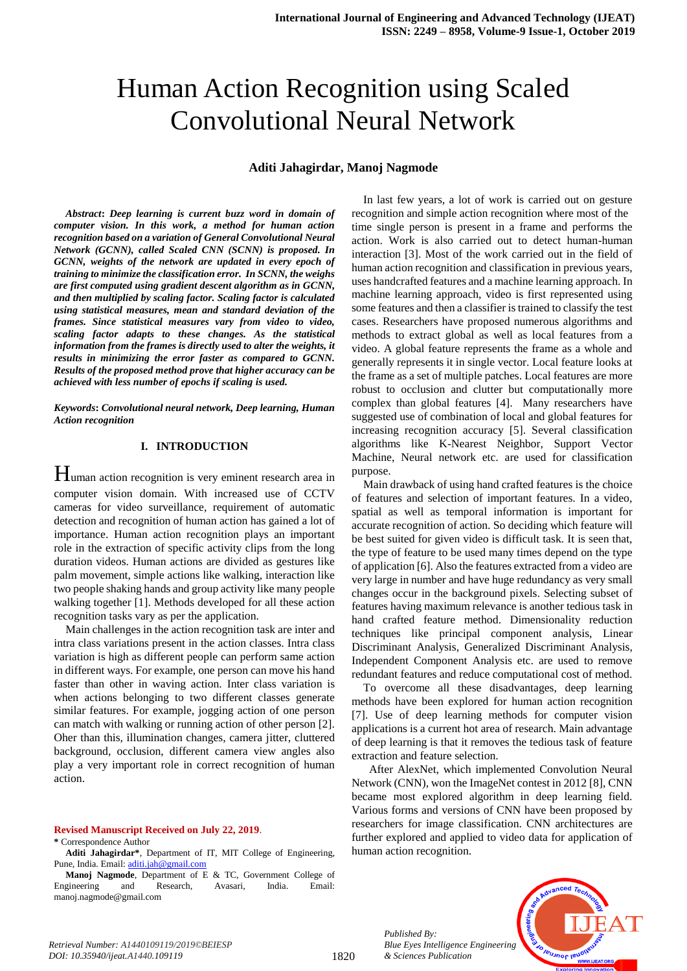# Human Action Recognition using Scaled Convolutional Neural Network

## **Aditi Jahagirdar, Manoj Nagmode**

*Abstract***:** *Deep learning is current buzz word in domain of computer vision. In this work, a method for human action recognition based on a variation of General Convolutional Neural Network (GCNN), called Scaled CNN (SCNN) is proposed. In*  GCNN, weights of the network are updated in every epoch of *training to minimize the classification error. In SCNN, the weighs are first computed using gradient descent algorithm as in GCNN, and then multiplied by scaling factor. Scaling factor is calculated using statistical measures, mean and standard deviation of the frames. Since statistical measures vary from video to video, scaling factor adapts to these changes. As the statistical information from the frames is directly used to alter the weights, it results in minimizing the error faster as compared to GCNN. Results of the proposed method prove that higher accuracy can be achieved with less number of epochs if scaling is used.* 

*Keywords***:** *Convolutional neural network, Deep learning, Human Action recognition* 

## **I. INTRODUCTION**

Human action recognition is very eminent research area in computer vision domain. With increased use of CCTV cameras for video surveillance, requirement of automatic detection and recognition of human action has gained a lot of importance. Human action recognition plays an important role in the extraction of specific activity clips from the long duration videos. Human actions are divided as gestures like palm movement, simple actions like walking, interaction like two people shaking hands and group activity like many people walking together [1]. Methods developed for all these action recognition tasks vary as per the application.

Main challenges in the action recognition task are inter and intra class variations present in the action classes. Intra class variation is high as different people can perform same action in different ways. For example, one person can move his hand faster than other in waving action. Inter class variation is when actions belonging to two different classes generate similar features. For example, jogging action of one person can match with walking or running action of other person [2]. Oher than this, illumination changes, camera jitter, cluttered background, occlusion, different camera view angles also play a very important role in correct recognition of human action.

#### **Revised Manuscript Received on July 22, 2019**.

#### **\*** Correspondence Author

**Aditi Jahagirdar\***, Department of IT, MIT College of Engineering, Pune, India. Email: [aditi.jah@gmail.com](mailto:aditi.jah@gmail.com)

**Manoj Nagmode**, Department of E & TC, Government College of Engineering and Research, Avasari, India. Email: manoj.nagmode@gmail.com

In last few years, a lot of work is carried out on gesture recognition and simple action recognition where most of the time single person is present in a frame and performs the action. Work is also carried out to detect human-human interaction [3]. Most of the work carried out in the field of human action recognition and classification in previous years, uses handcrafted features and a machine learning approach. In machine learning approach, video is first represented using some features and then a classifier is trained to classify the test cases. Researchers have proposed numerous algorithms and methods to extract global as well as local features from a video. A global feature represents the frame as a whole and generally represents it in single vector. Local feature looks at the frame as a set of multiple patches. Local features are more robust to occlusion and clutter but computationally more complex than global features [4]. Many researchers have suggested use of combination of local and global features for increasing recognition accuracy [5]. Several classification algorithms like K-Nearest Neighbor, Support Vector Machine, Neural network etc. are used for classification purpose.

Main drawback of using hand crafted features is the choice of features and selection of important features. In a video, spatial as well as temporal information is important for accurate recognition of action. So deciding which feature will be best suited for given video is difficult task. It is seen that, the type of feature to be used many times depend on the type of application [6]. Also the features extracted from a video are very large in number and have huge redundancy as very small changes occur in the background pixels. Selecting subset of features having maximum relevance is another tedious task in hand crafted feature method. Dimensionality reduction techniques like principal component analysis, Linear Discriminant Analysis, Generalized Discriminant Analysis, Independent Component Analysis etc. are used to remove redundant features and reduce computational cost of method.

To overcome all these disadvantages, deep learning methods have been explored for human action recognition [7]. Use of deep learning methods for computer vision applications is a current hot area of research. Main advantage of deep learning is that it removes the tedious task of feature extraction and feature selection.

 After AlexNet, which implemented Convolution Neural Network (CNN), won the ImageNet contest in 2012 [8], CNN became most explored algorithm in deep learning field. Various forms and versions of CNN have been proposed by researchers for image classification. CNN architectures are further explored and applied to video data for application of human action recognition.

> *Published By: Blue Eyes Intelligence Engineering & Sciences Publication*

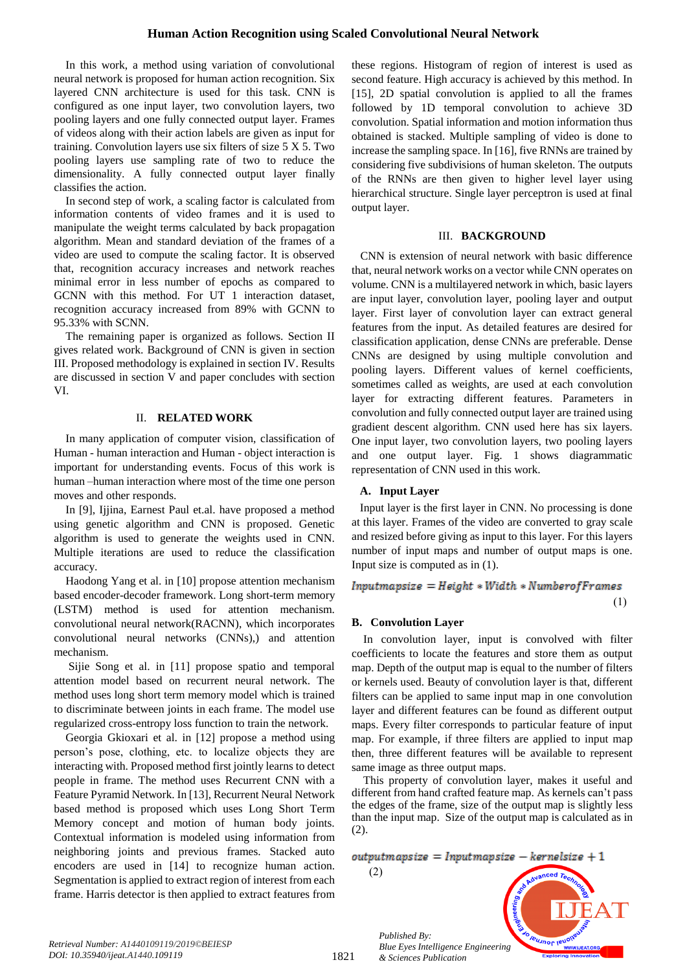## **Human Action Recognition using Scaled Convolutional Neural Network**

In this work, a method using variation of convolutional neural network is proposed for human action recognition. Six layered CNN architecture is used for this task. CNN is configured as one input layer, two convolution layers, two pooling layers and one fully connected output layer. Frames of videos along with their action labels are given as input for training. Convolution layers use six filters of size 5 X 5. Two pooling layers use sampling rate of two to reduce the dimensionality. A fully connected output layer finally classifies the action.

In second step of work, a scaling factor is calculated from information contents of video frames and it is used to manipulate the weight terms calculated by back propagation algorithm. Mean and standard deviation of the frames of a video are used to compute the scaling factor. It is observed that, recognition accuracy increases and network reaches minimal error in less number of epochs as compared to GCNN with this method. For UT 1 interaction dataset, recognition accuracy increased from 89% with GCNN to 95.33% with SCNN.

The remaining paper is organized as follows. Section II gives related work. Background of CNN is given in section III. Proposed methodology is explained in section IV. Results are discussed in section V and paper concludes with section VI.

## II. **RELATED WORK**

In many application of computer vision, classification of Human - human interaction and Human - object interaction is important for understanding events. Focus of this work is human –human interaction where most of the time one person moves and other responds.

In [9], Ijjina, Earnest Paul et.al. have proposed a method using genetic algorithm and CNN is proposed. Genetic algorithm is used to generate the weights used in CNN. Multiple iterations are used to reduce the classification accuracy.

Haodong Yang et al. in [10] propose attention mechanism based encoder-decoder framework. Long short-term memory (LSTM) method is used for attention mechanism. convolutional neural network(RACNN), which incorporates convolutional neural networks (CNNs),) and attention mechanism.

Sijie Song et al. in [11] propose spatio and temporal attention model based on recurrent neural network. The method uses long short term memory model which is trained to discriminate between joints in each frame. The model use regularized cross-entropy loss function to train the network.

Georgia Gkioxari et al. in [12] propose a method using person"s pose, clothing, etc. to localize objects they are interacting with. Proposed method first jointly learns to detect people in frame. The method uses Recurrent CNN with a Feature Pyramid Network. In [13], Recurrent Neural Network based method is proposed which uses Long Short Term Memory concept and motion of human body joints. Contextual information is modeled using information from neighboring joints and previous frames. Stacked auto encoders are used in [14] to recognize human action. Segmentation is applied to extract region of interest from each frame. Harris detector is then applied to extract features from

these regions. Histogram of region of interest is used as second feature. High accuracy is achieved by this method. In [15], 2D spatial convolution is applied to all the frames followed by 1D temporal convolution to achieve 3D convolution. Spatial information and motion information thus obtained is stacked. Multiple sampling of video is done to increase the sampling space. In [16], five RNNs are trained by considering five subdivisions of human skeleton. The outputs of the RNNs are then given to higher level layer using hierarchical structure. Single layer perceptron is used at final output layer.

## III. **BACKGROUND**

 CNN is extension of neural network with basic difference that, neural network works on a vector while CNN operates on volume. CNN is a multilayered network in which, basic layers are input layer, convolution layer, pooling layer and output layer. First layer of convolution layer can extract general features from the input. As detailed features are desired for classification application, dense CNNs are preferable. Dense CNNs are designed by using multiple convolution and pooling layers. Different values of kernel coefficients, sometimes called as weights, are used at each convolution layer for extracting different features. Parameters in convolution and fully connected output layer are trained using gradient descent algorithm. CNN used here has six layers. One input layer, two convolution layers, two pooling layers and one output layer. Fig. 1 shows diagrammatic representation of CNN used in this work.

## **A. Input Layer**

Input layer is the first layer in CNN. No processing is done at this layer. Frames of the video are converted to gray scale and resized before giving as input to this layer. For this layers number of input maps and number of output maps is one. Input size is computed as in (1).

## $InputStreamasize = Height *Width * Number of Frames$

 $(1)$ 

## **B. Convolution Layer**

In convolution layer, input is convolved with filter coefficients to locate the features and store them as output map. Depth of the output map is equal to the number of filters or kernels used. Beauty of convolution layer is that, different filters can be applied to same input map in one convolution layer and different features can be found as different output maps. Every filter corresponds to particular feature of input map. For example, if three filters are applied to input map then, three different features will be available to represent same image as three output maps.

This property of convolution layer, makes it useful and different from hand crafted feature map. As kernels can"t pass the edges of the frame, size of the output map is slightly less than the input map. Size of the output map is calculated as in (2).

 $output mapsize = Input mapsize - kernelsize + 1$ 

 $(2)$ 

*Published By:*

*& Sciences Publication* 

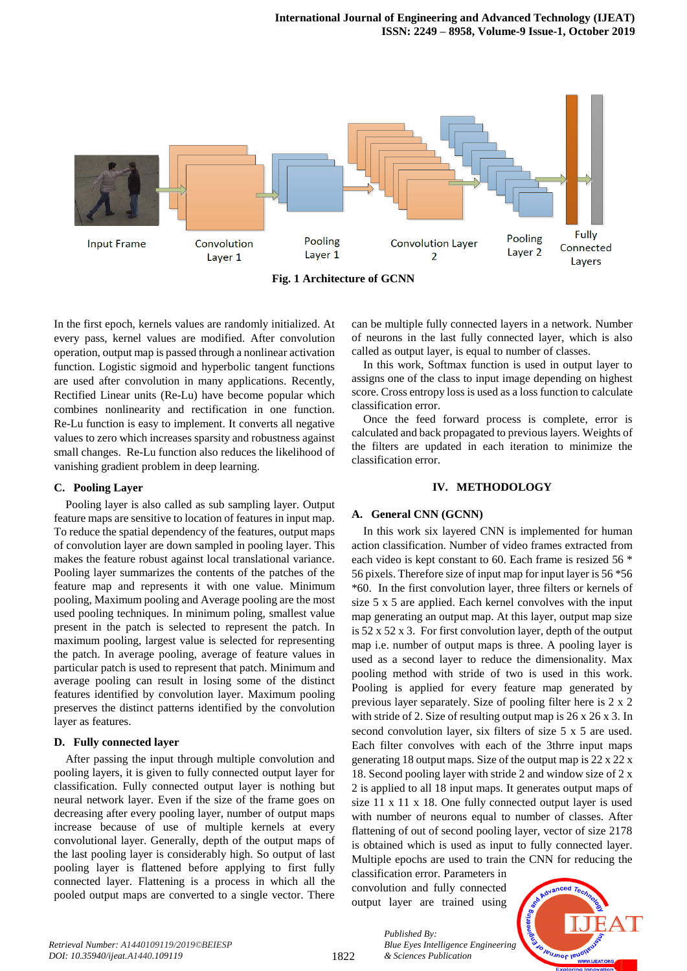

**Fig. 1 Architecture of GCNN** 

In the first epoch, kernels values are randomly initialized. At every pass, kernel values are modified. After convolution operation, output map is passed through a nonlinear activation function. Logistic sigmoid and hyperbolic tangent functions are used after convolution in many applications. Recently, Rectified Linear units (Re-Lu) have become popular which combines nonlinearity and rectification in one function. Re-Lu function is easy to implement. It converts all negative values to zero which increases sparsity and robustness against small changes. Re-Lu function also reduces the likelihood of vanishing gradient problem in deep learning.

## **C. Pooling Layer**

Pooling layer is also called as sub sampling layer. Output feature maps are sensitive to location of features in input map. To reduce the spatial dependency of the features, output maps of convolution layer are down sampled in pooling layer. This makes the feature robust against local translational variance. Pooling layer summarizes the contents of the patches of the feature map and represents it with one value. Minimum pooling, Maximum pooling and Average pooling are the most used pooling techniques. In minimum poling, smallest value present in the patch is selected to represent the patch. In maximum pooling, largest value is selected for representing the patch. In average pooling, average of feature values in particular patch is used to represent that patch. Minimum and average pooling can result in losing some of the distinct features identified by convolution layer. Maximum pooling preserves the distinct patterns identified by the convolution layer as features.

## **D. Fully connected layer**

After passing the input through multiple convolution and pooling layers, it is given to fully connected output layer for classification. Fully connected output layer is nothing but neural network layer. Even if the size of the frame goes on decreasing after every pooling layer, number of output maps increase because of use of multiple kernels at every convolutional layer. Generally, depth of the output maps of the last pooling layer is considerably high. So output of last pooling layer is flattened before applying to first fully connected layer. Flattening is a process in which all the pooled output maps are converted to a single vector. There can be multiple fully connected layers in a network. Number of neurons in the last fully connected layer, which is also called as output layer, is equal to number of classes.

In this work, Softmax function is used in output layer to assigns one of the class to input image depending on highest score. Cross entropy loss is used as a loss function to calculate classification error.

Once the feed forward process is complete, error is calculated and back propagated to previous layers. Weights of the filters are updated in each iteration to minimize the classification error.

## **IV. METHODOLOGY**

## **A. General CNN (GCNN)**

In this work six layered CNN is implemented for human action classification. Number of video frames extracted from each video is kept constant to 60. Each frame is resized 56 \* 56 pixels. Therefore size of input map for input layer is 56 \*56 \*60. In the first convolution layer, three filters or kernels of size 5 x 5 are applied. Each kernel convolves with the input map generating an output map. At this layer, output map size is 52 x 52 x 3. For first convolution layer, depth of the output map i.e. number of output maps is three. A pooling layer is used as a second layer to reduce the dimensionality. Max pooling method with stride of two is used in this work. Pooling is applied for every feature map generated by previous layer separately. Size of pooling filter here is 2 x 2 with stride of 2. Size of resulting output map is  $26 \times 26 \times 3$ . In second convolution layer, six filters of size 5 x 5 are used. Each filter convolves with each of the 3thrre input maps generating 18 output maps. Size of the output map is 22 x 22 x 18. Second pooling layer with stride 2 and window size of 2 x 2 is applied to all 18 input maps. It generates output maps of size 11 x 11 x 18. One fully connected output layer is used with number of neurons equal to number of classes. After flattening of out of second pooling layer, vector of size 2178 is obtained which is used as input to fully connected layer. Multiple epochs are used to train the CNN for reducing the

classification error. Parameters in convolution and fully connected output layer are trained using

*& Sciences Publication* 

*Published By:*



1822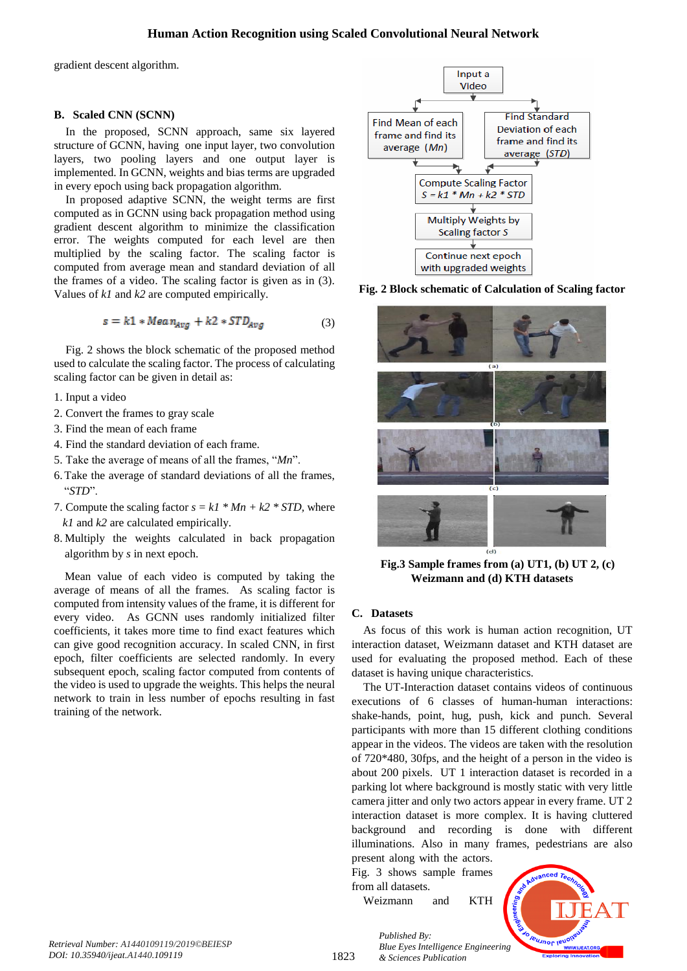## **Human Action Recognition using Scaled Convolutional Neural Network**

gradient descent algorithm.

## **B. Scaled CNN (SCNN)**

In the proposed, SCNN approach, same six layered structure of GCNN, having one input layer, two convolution layers, two pooling layers and one output layer is implemented. In GCNN, weights and bias terms are upgraded in every epoch using back propagation algorithm.

In proposed adaptive SCNN, the weight terms are first computed as in GCNN using back propagation method using gradient descent algorithm to minimize the classification error. The weights computed for each level are then multiplied by the scaling factor. The scaling factor is computed from average mean and standard deviation of all the frames of a video. The scaling factor is given as in (3). Values of *k1* and *k2* are computed empirically.

$$
s = k1 * Mean_{Avg} + k2 * STD_{Avg}
$$
 (3)

Fig. 2 shows the block schematic of the proposed method used to calculate the scaling factor. The process of calculating scaling factor can be given in detail as:

- 1. Input a video
- 2. Convert the frames to gray scale
- 3. Find the mean of each frame
- 4. Find the standard deviation of each frame.
- 5. Take the average of means of all the frames, "*Mn*".
- 6.Take the average of standard deviations of all the frames, "*STD*".
- 7. Compute the scaling factor  $s = kI * Mn + k2 * STD$ , where  *k1* and *k2* are calculated empirically.
- 8. Multiply the weights calculated in back propagation algorithm by *s* in next epoch.

Mean value of each video is computed by taking the average of means of all the frames. As scaling factor is computed from intensity values of the frame, it is different for every video. As GCNN uses randomly initialized filter coefficients, it takes more time to find exact features which can give good recognition accuracy. In scaled CNN, in first epoch, filter coefficients are selected randomly. In every subsequent epoch, scaling factor computed from contents of the video is used to upgrade the weights. This helps the neural network to train in less number of epochs resulting in fast training of the network.



**Fig. 2 Block schematic of Calculation of Scaling factor** 



**Fig.3 Sample frames from (a) UT1, (b) UT 2, (c) Weizmann and (d) KTH datasets**

## **C. Datasets**

As focus of this work is human action recognition, UT interaction dataset, Weizmann dataset and KTH dataset are used for evaluating the proposed method. Each of these dataset is having unique characteristics.

The UT-Interaction dataset contains videos of continuous executions of 6 classes of human-human interactions: shake-hands, point, hug, push, kick and punch. Several participants with more than 15 different clothing conditions appear in the videos. The videos are taken with the resolution of 720\*480, 30fps, and the height of a person in the video is about 200 pixels. UT 1 interaction dataset is recorded in a parking lot where background is mostly static with very little camera jitter and only two actors appear in every frame. UT 2 interaction dataset is more complex. It is having cluttered background and recording is done with different illuminations. Also in many frames, pedestrians are also

present along with the actors. Fig. 3 shows sample frames from all datasets.

Weizmann and KTH

*& Sciences Publication* 

*Published By:*



1823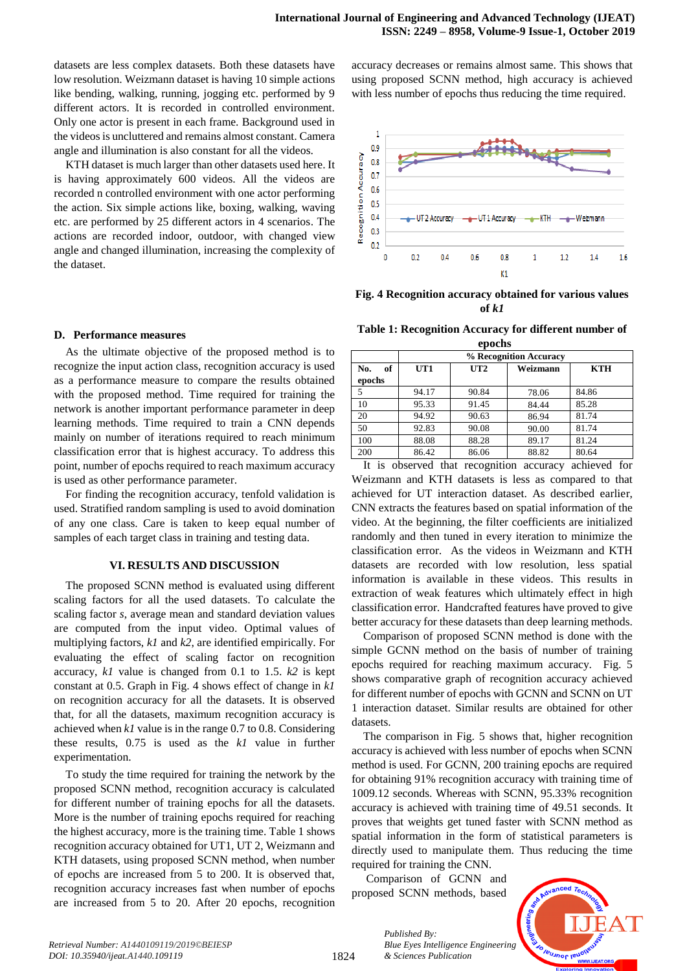datasets are less complex datasets. Both these datasets have low resolution. Weizmann dataset is having 10 simple actions like bending, walking, running, jogging etc. performed by 9 different actors. It is recorded in controlled environment. Only one actor is present in each frame. Background used in the videos is uncluttered and remains almost constant. Camera angle and illumination is also constant for all the videos.

KTH dataset is much larger than other datasets used here. It is having approximately 600 videos. All the videos are recorded n controlled environment with one actor performing the action. Six simple actions like, boxing, walking, waving etc. are performed by 25 different actors in 4 scenarios. The actions are recorded indoor, outdoor, with changed view angle and changed illumination, increasing the complexity of the dataset.

#### **D. Performance measures**

As the ultimate objective of the proposed method is to recognize the input action class, recognition accuracy is used as a performance measure to compare the results obtained with the proposed method. Time required for training the network is another important performance parameter in deep learning methods. Time required to train a CNN depends mainly on number of iterations required to reach minimum classification error that is highest accuracy. To address this point, number of epochs required to reach maximum accuracy is used as other performance parameter.

For finding the recognition accuracy, tenfold validation is used. Stratified random sampling is used to avoid domination of any one class. Care is taken to keep equal number of samples of each target class in training and testing data.

#### **VI. RESULTS AND DISCUSSION**

The proposed SCNN method is evaluated using different scaling factors for all the used datasets. To calculate the scaling factor *s*, average mean and standard deviation values are computed from the input video. Optimal values of multiplying factors, *k1* and *k2*, are identified empirically. For evaluating the effect of scaling factor on recognition accuracy, *k1* value is changed from 0.1 to 1.5. *k2* is kept constant at 0.5. Graph in Fig. 4 shows effect of change in *k1* on recognition accuracy for all the datasets. It is observed that, for all the datasets, maximum recognition accuracy is achieved when *k1* value is in the range 0.7 to 0.8. Considering these results, 0.75 is used as the *k1* value in further experimentation.

To study the time required for training the network by the proposed SCNN method, recognition accuracy is calculated for different number of training epochs for all the datasets. More is the number of training epochs required for reaching the highest accuracy, more is the training time. Table 1 shows recognition accuracy obtained for UT1, UT 2, Weizmann and KTH datasets, using proposed SCNN method, when number of epochs are increased from 5 to 200. It is observed that, recognition accuracy increases fast when number of epochs are increased from 5 to 20. After 20 epochs, recognition accuracy decreases or remains almost same. This shows that using proposed SCNN method, high accuracy is achieved with less number of epochs thus reducing the time required.



**Fig. 4 Recognition accuracy obtained for various values of** *k1*

**Table 1: Recognition Accuracy for different number of** 

| epochs    |                        |       |          |            |  |
|-----------|------------------------|-------|----------|------------|--|
|           | % Recognition Accuracy |       |          |            |  |
| of<br>No. | UT1                    | UT2   | Weizmann | <b>KTH</b> |  |
| epochs    |                        |       |          |            |  |
| 5         | 94.17                  | 90.84 | 78.06    | 84.86      |  |
| 10        | 95.33                  | 91.45 | 84.44    | 85.28      |  |
| 20        | 94.92                  | 90.63 | 86.94    | 81.74      |  |
| 50        | 92.83                  | 90.08 | 90.00    | 81.74      |  |
| 100       | 88.08                  | 88.28 | 89.17    | 81.24      |  |
| 200       | 86.42                  | 86.06 | 88.82    | 80.64      |  |

It is observed that recognition accuracy achieved for Weizmann and KTH datasets is less as compared to that achieved for UT interaction dataset. As described earlier, CNN extracts the features based on spatial information of the video. At the beginning, the filter coefficients are initialized randomly and then tuned in every iteration to minimize the classification error. As the videos in Weizmann and KTH datasets are recorded with low resolution, less spatial information is available in these videos. This results in extraction of weak features which ultimately effect in high classification error. Handcrafted features have proved to give better accuracy for these datasets than deep learning methods.

Comparison of proposed SCNN method is done with the simple GCNN method on the basis of number of training epochs required for reaching maximum accuracy. Fig. 5 shows comparative graph of recognition accuracy achieved for different number of epochs with GCNN and SCNN on UT 1 interaction dataset. Similar results are obtained for other datasets.

The comparison in Fig. 5 shows that, higher recognition accuracy is achieved with less number of epochs when SCNN method is used. For GCNN, 200 training epochs are required for obtaining 91% recognition accuracy with training time of 1009.12 seconds. Whereas with SCNN, 95.33% recognition accuracy is achieved with training time of 49.51 seconds. It proves that weights get tuned faster with SCNN method as spatial information in the form of statistical parameters is directly used to manipulate them. Thus reducing the time required for training the CNN.

Comparison of GCNN and proposed SCNN methods, based

*& Sciences Publication* 

*Published By:*

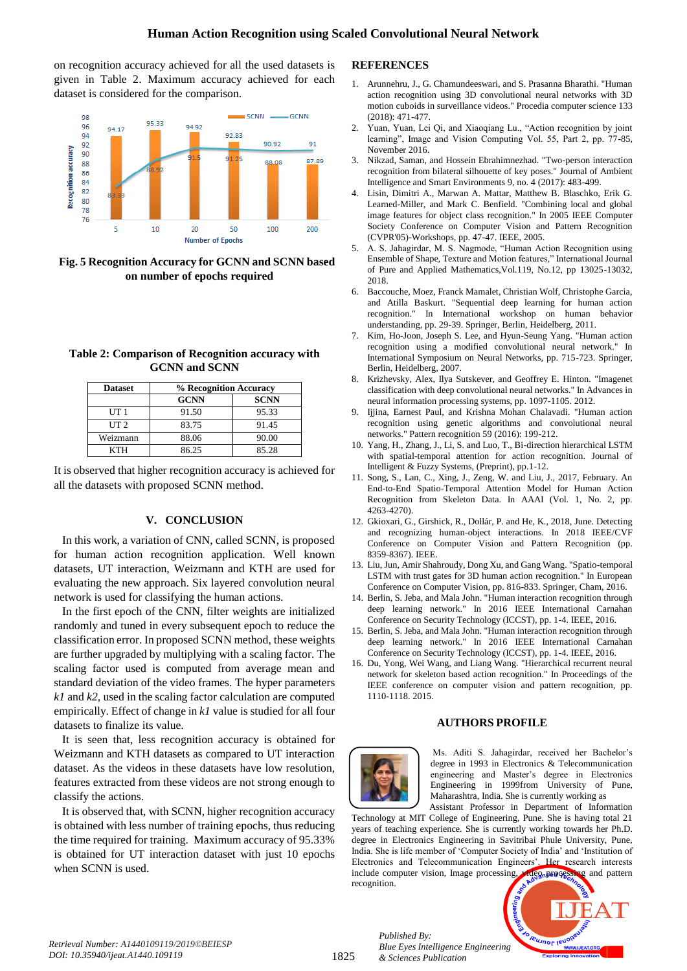on recognition accuracy achieved for all the used datasets is given in Table 2. Maximum accuracy achieved for each dataset is considered for the comparison.



**Fig. 5 Recognition Accuracy for GCNN and SCNN based on number of epochs required**

| Table 2: Comparison of Recognition accuracy with |  |
|--------------------------------------------------|--|
| <b>GCNN</b> and SCNN                             |  |

| <b>Dataset</b>  | % Recognition Accuracy |             |  |
|-----------------|------------------------|-------------|--|
|                 | <b>GCNN</b>            | <b>SCNN</b> |  |
| UT <sub>1</sub> | 91.50                  | 95.33       |  |
| UT <sub>2</sub> | 83.75                  | 91.45       |  |
| Weizmann        | 88.06                  | 90.00       |  |
| <b>KTH</b>      | 86.25                  | 85.28       |  |

It is observed that higher recognition accuracy is achieved for all the datasets with proposed SCNN method.

## **V. CONCLUSION**

In this work, a variation of CNN, called SCNN, is proposed for human action recognition application. Well known datasets, UT interaction, Weizmann and KTH are used for evaluating the new approach. Six layered convolution neural network is used for classifying the human actions.

In the first epoch of the CNN, filter weights are initialized randomly and tuned in every subsequent epoch to reduce the classification error. In proposed SCNN method, these weights are further upgraded by multiplying with a scaling factor. The scaling factor used is computed from average mean and standard deviation of the video frames. The hyper parameters *k1* and *k2,* used in the scaling factor calculation are computed empirically. Effect of change in *k1* value is studied for all four datasets to finalize its value.

It is seen that, less recognition accuracy is obtained for Weizmann and KTH datasets as compared to UT interaction dataset. As the videos in these datasets have low resolution, features extracted from these videos are not strong enough to classify the actions.

It is observed that, with SCNN, higher recognition accuracy is obtained with less number of training epochs, thus reducing the time required for training. Maximum accuracy of 95.33% is obtained for UT interaction dataset with just 10 epochs when SCNN is used.

## **REFERENCES**

- 1. Arunnehru, J., G. Chamundeeswari, and S. Prasanna Bharathi. "Human action recognition using 3D convolutional neural networks with 3D motion cuboids in surveillance videos." Procedia computer science 133 (2018): 471-477.
- 2. Yuan, Yuan, Lei Qi, and Xiaoqiang Lu., "Action recognition by joint learning", Image and Vision Computing Vol. 55, Part 2, pp. 77-85, November 2016.
- 3. Nikzad, Saman, and Hossein Ebrahimnezhad. "Two-person interaction recognition from bilateral silhouette of key poses." Journal of Ambient Intelligence and Smart Environments 9, no. 4 (2017): 483-499.
- 4. Lisin, Dimitri A., Marwan A. Mattar, Matthew B. Blaschko, Erik G. Learned-Miller, and Mark C. Benfield. "Combining local and global image features for object class recognition." In 2005 IEEE Computer Society Conference on Computer Vision and Pattern Recognition (CVPR'05)-Workshops, pp. 47-47. IEEE, 2005.
- 5. A. S. Jahagirdar, M. S. Nagmode, "Human Action Recognition using Ensemble of Shape, Texture and Motion features," International Journal of Pure and Applied Mathematics,Vol.119, No.12, pp 13025-13032, 2018.
- 6. Baccouche, Moez, Franck Mamalet, Christian Wolf, Christophe Garcia, and Atilla Baskurt. "Sequential deep learning for human action recognition." In International workshop on human behavior understanding, pp. 29-39. Springer, Berlin, Heidelberg, 2011.
- 7. Kim, Ho-Joon, Joseph S. Lee, and Hyun-Seung Yang. "Human action recognition using a modified convolutional neural network." In International Symposium on Neural Networks, pp. 715-723. Springer, Berlin, Heidelberg, 2007.
- 8. Krizhevsky, Alex, Ilya Sutskever, and Geoffrey E. Hinton. "Imagenet classification with deep convolutional neural networks." In Advances in neural information processing systems, pp. 1097-1105. 2012.
- 9. Ijjina, Earnest Paul, and Krishna Mohan Chalavadi. "Human action recognition using genetic algorithms and convolutional neural networks." Pattern recognition 59 (2016): 199-212.
- 10. Yang, H., Zhang, J., Li, S. and Luo, T., Bi-direction hierarchical LSTM with spatial-temporal attention for action recognition. Journal of Intelligent & Fuzzy Systems, (Preprint), pp.1-12.
- 11. Song, S., Lan, C., Xing, J., Zeng, W. and Liu, J., 2017, February. An End-to-End Spatio-Temporal Attention Model for Human Action Recognition from Skeleton Data. In AAAI (Vol. 1, No. 2, pp. 4263-4270).
- 12. Gkioxari, G., Girshick, R., Dollár, P. and He, K., 2018, June. Detecting and recognizing human-object interactions. In 2018 IEEE/CVF Conference on Computer Vision and Pattern Recognition (pp. 8359-8367). IEEE.
- 13. Liu, Jun, Amir Shahroudy, Dong Xu, and Gang Wang. "Spatio-temporal LSTM with trust gates for 3D human action recognition." In European Conference on Computer Vision, pp. 816-833. Springer, Cham, 2016.
- 14. Berlin, S. Jeba, and Mala John. "Human interaction recognition through deep learning network." In 2016 IEEE International Carnahan Conference on Security Technology (ICCST), pp. 1-4. IEEE, 2016.
- 15. Berlin, S. Jeba, and Mala John. "Human interaction recognition through deep learning network." In 2016 IEEE International Carnahan Conference on Security Technology (ICCST), pp. 1-4. IEEE, 2016.
- 16. Du, Yong, Wei Wang, and Liang Wang. "Hierarchical recurrent neural network for skeleton based action recognition." In Proceedings of the IEEE conference on computer vision and pattern recognition, pp. 1110-1118. 2015.

## **AUTHORS PROFILE**



*Published By:*

*& Sciences Publication* 

Ms. Aditi S. Jahagirdar, received her Bachelor"s degree in 1993 in Electronics & Telecommunication engineering and Master's degree in Electronics Engineering in 1999from University of Pune, Maharashtra, India. She is currently working as

Assistant Professor in Department of Information Technology at MIT College of Engineering, Pune. She is having total 21 years of teaching experience. She is currently working towards her Ph.D. degree in Electronics Engineering in Savitribai Phule University, Pune, India. She is life member of "Computer Society of India" and "Institution of Electronics and Telecommunication Engineers'. Her research interests include computer vision, Image processing, video processing and pattern recognition.



*Retrieval Number: A1440109119/2019©BEIESP DOI: 10.35940/ijeat.A1440.109119*